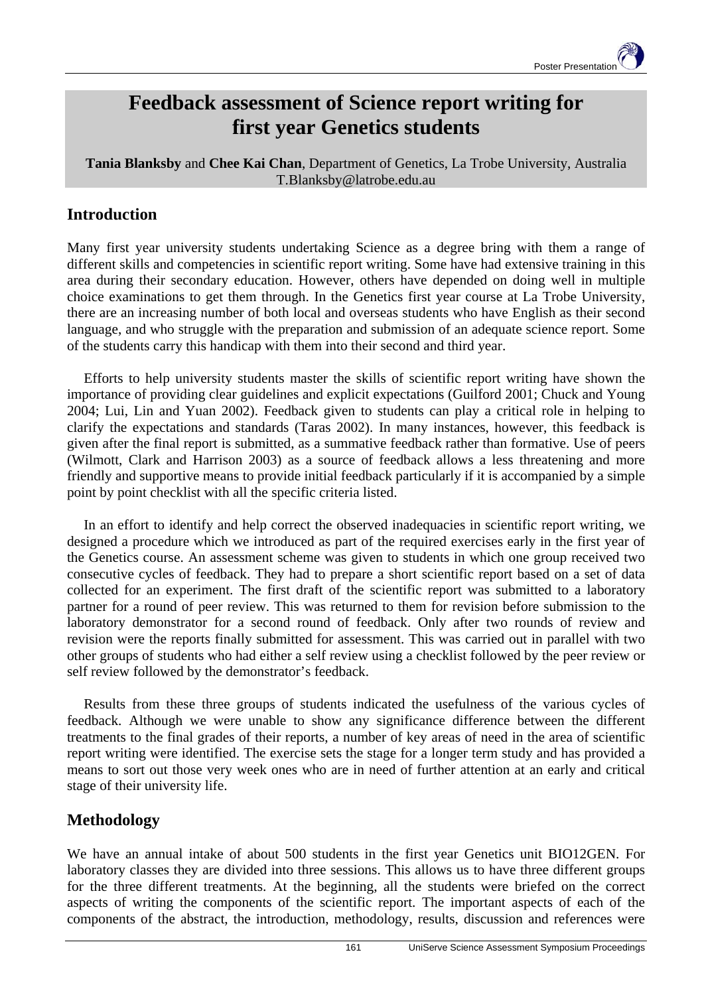# **Feedback assessment of Science report writing for first year Genetics students**

**Tania Blanksby** and **Chee Kai Chan**, Department of Genetics, La Trobe University, Australia T.Blanksby@latrobe.edu.au

#### **Introduction**

Many first year university students undertaking Science as a degree bring with them a range of different skills and competencies in scientific report writing. Some have had extensive training in this area during their secondary education. However, others have depended on doing well in multiple choice examinations to get them through. In the Genetics first year course at La Trobe University, there are an increasing number of both local and overseas students who have English as their second language, and who struggle with the preparation and submission of an adequate science report. Some of the students carry this handicap with them into their second and third year.

Efforts to help university students master the skills of scientific report writing have shown the importance of providing clear guidelines and explicit expectations (Guilford 2001; Chuck and Young 2004; Lui, Lin and Yuan 2002). Feedback given to students can play a critical role in helping to clarify the expectations and standards (Taras 2002). In many instances, however, this feedback is given after the final report is submitted, as a summative feedback rather than formative. Use of peers (Wilmott, Clark and Harrison 2003) as a source of feedback allows a less threatening and more friendly and supportive means to provide initial feedback particularly if it is accompanied by a simple point by point checklist with all the specific criteria listed.

In an effort to identify and help correct the observed inadequacies in scientific report writing, we designed a procedure which we introduced as part of the required exercises early in the first year of the Genetics course. An assessment scheme was given to students in which one group received two consecutive cycles of feedback. They had to prepare a short scientific report based on a set of data collected for an experiment. The first draft of the scientific report was submitted to a laboratory partner for a round of peer review. This was returned to them for revision before submission to the laboratory demonstrator for a second round of feedback. Only after two rounds of review and revision were the reports finally submitted for assessment. This was carried out in parallel with two other groups of students who had either a self review using a checklist followed by the peer review or self review followed by the demonstrator's feedback.

Results from these three groups of students indicated the usefulness of the various cycles of feedback. Although we were unable to show any significance difference between the different treatments to the final grades of their reports, a number of key areas of need in the area of scientific report writing were identified. The exercise sets the stage for a longer term study and has provided a means to sort out those very week ones who are in need of further attention at an early and critical stage of their university life.

### **Methodology**

We have an annual intake of about 500 students in the first year Genetics unit BIO12GEN. For laboratory classes they are divided into three sessions. This allows us to have three different groups for the three different treatments. At the beginning, all the students were briefed on the correct aspects of writing the components of the scientific report. The important aspects of each of the components of the abstract, the introduction, methodology, results, discussion and references were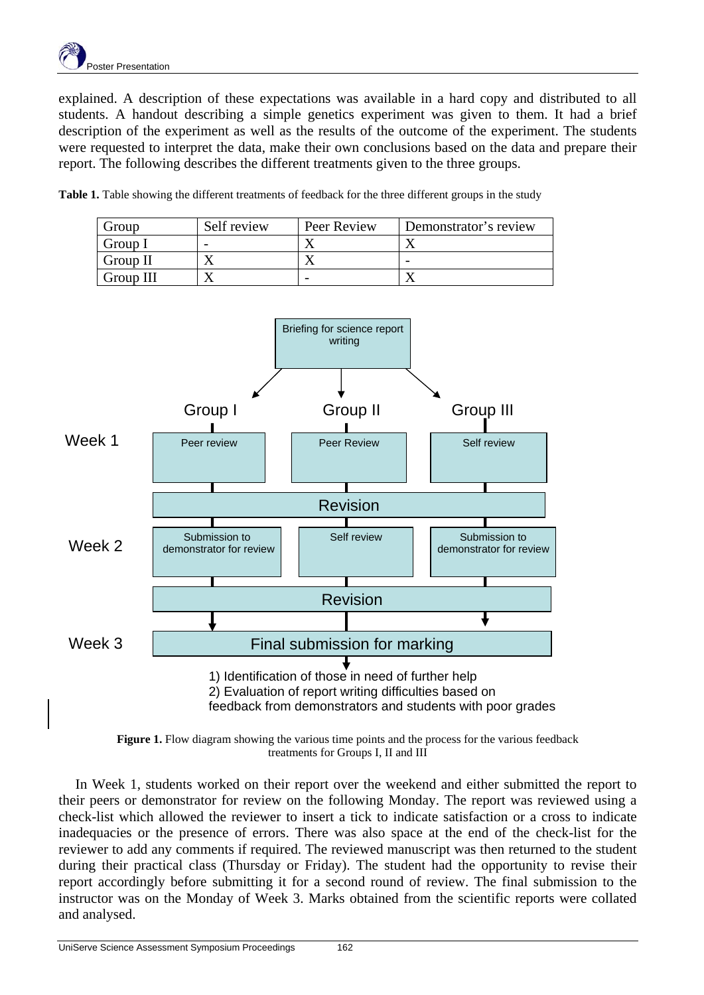explained. A description of these expectations was available in a hard copy and distributed to all students. A handout describing a simple genetics experiment was given to them. It had a brief description of the experiment as well as the results of the outcome of the experiment. The students were requested to interpret the data, make their own conclusions based on the data and prepare their report. The following describes the different treatments given to the three groups.

| Group     | Self review | Peer Review | Demonstrator's review |
|-----------|-------------|-------------|-----------------------|
| Group I   |             |             |                       |
| Group II  |             |             |                       |
| Group III |             |             |                       |

Table 1. Table showing the different treatments of feedback for the three different groups in the study



**Figure 1.** Flow diagram showing the various time points and the process for the various feedback treatments for Groups I, II and III

In Week 1, students worked on their report over the weekend and either submitted the report to their peers or demonstrator for review on the following Monday. The report was reviewed using a check-list which allowed the reviewer to insert a tick to indicate satisfaction or a cross to indicate inadequacies or the presence of errors. There was also space at the end of the check-list for the reviewer to add any comments if required. The reviewed manuscript was then returned to the student during their practical class (Thursday or Friday). The student had the opportunity to revise their report accordingly before submitting it for a second round of review. The final submission to the instructor was on the Monday of Week 3. Marks obtained from the scientific reports were collated and analysed.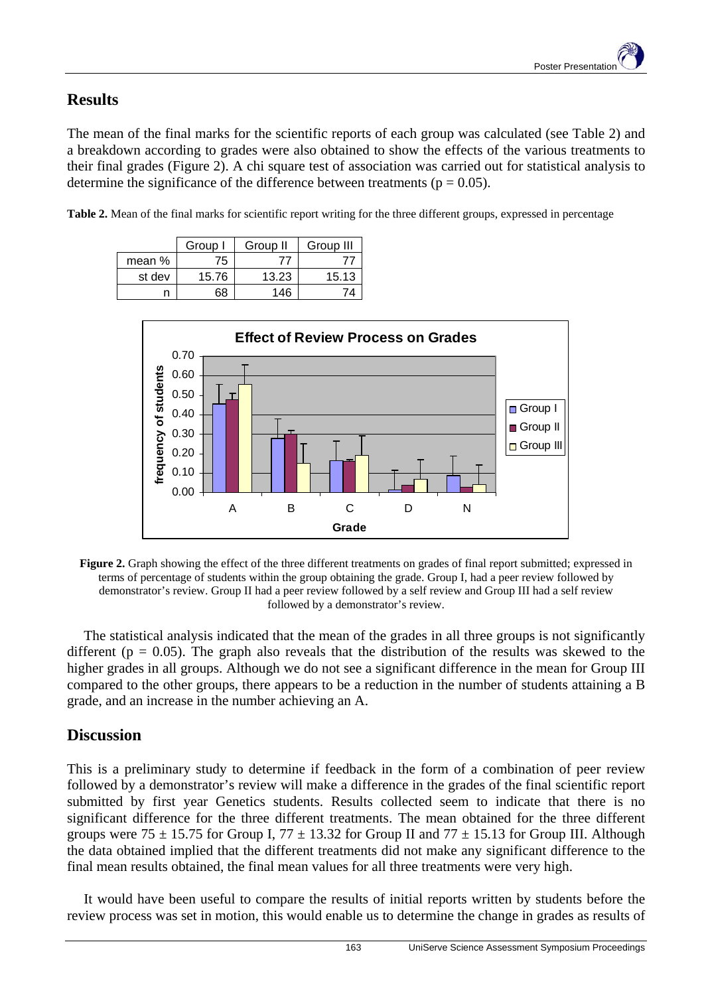## **Results**

The mean of the final marks for the scientific reports of each group was calculated (see Table 2) and a breakdown according to grades were also obtained to show the effects of the various treatments to their final grades (Figure 2). A chi square test of association was carried out for statistical analysis to determine the significance of the difference between treatments ( $p = 0.05$ ).

**Table 2.** Mean of the final marks for scientific report writing for the three different groups, expressed in percentage

|        | Group | Group II | Group III |
|--------|-------|----------|-----------|
| mean % | 75    | 77       |           |
| st dev | 15.76 | 13.23    | 15.13     |
|        | 68    | 146      |           |



**Figure 2.** Graph showing the effect of the three different treatments on grades of final report submitted; expressed in terms of percentage of students within the group obtaining the grade. Group I, had a peer review followed by demonstrator's review. Group II had a peer review followed by a self review and Group III had a self review followed by a demonstrator's review.

The statistical analysis indicated that the mean of the grades in all three groups is not significantly different ( $p = 0.05$ ). The graph also reveals that the distribution of the results was skewed to the higher grades in all groups. Although we do not see a significant difference in the mean for Group III compared to the other groups, there appears to be a reduction in the number of students attaining a B grade, and an increase in the number achieving an A.

### **Discussion**

This is a preliminary study to determine if feedback in the form of a combination of peer review followed by a demonstrator's review will make a difference in the grades of the final scientific report submitted by first year Genetics students. Results collected seem to indicate that there is no significant difference for the three different treatments. The mean obtained for the three different groups were  $75 \pm 15.75$  for Group I,  $77 \pm 13.32$  for Group II and  $77 \pm 15.13$  for Group III. Although the data obtained implied that the different treatments did not make any significant difference to the final mean results obtained, the final mean values for all three treatments were very high.

It would have been useful to compare the results of initial reports written by students before the review process was set in motion, this would enable us to determine the change in grades as results of